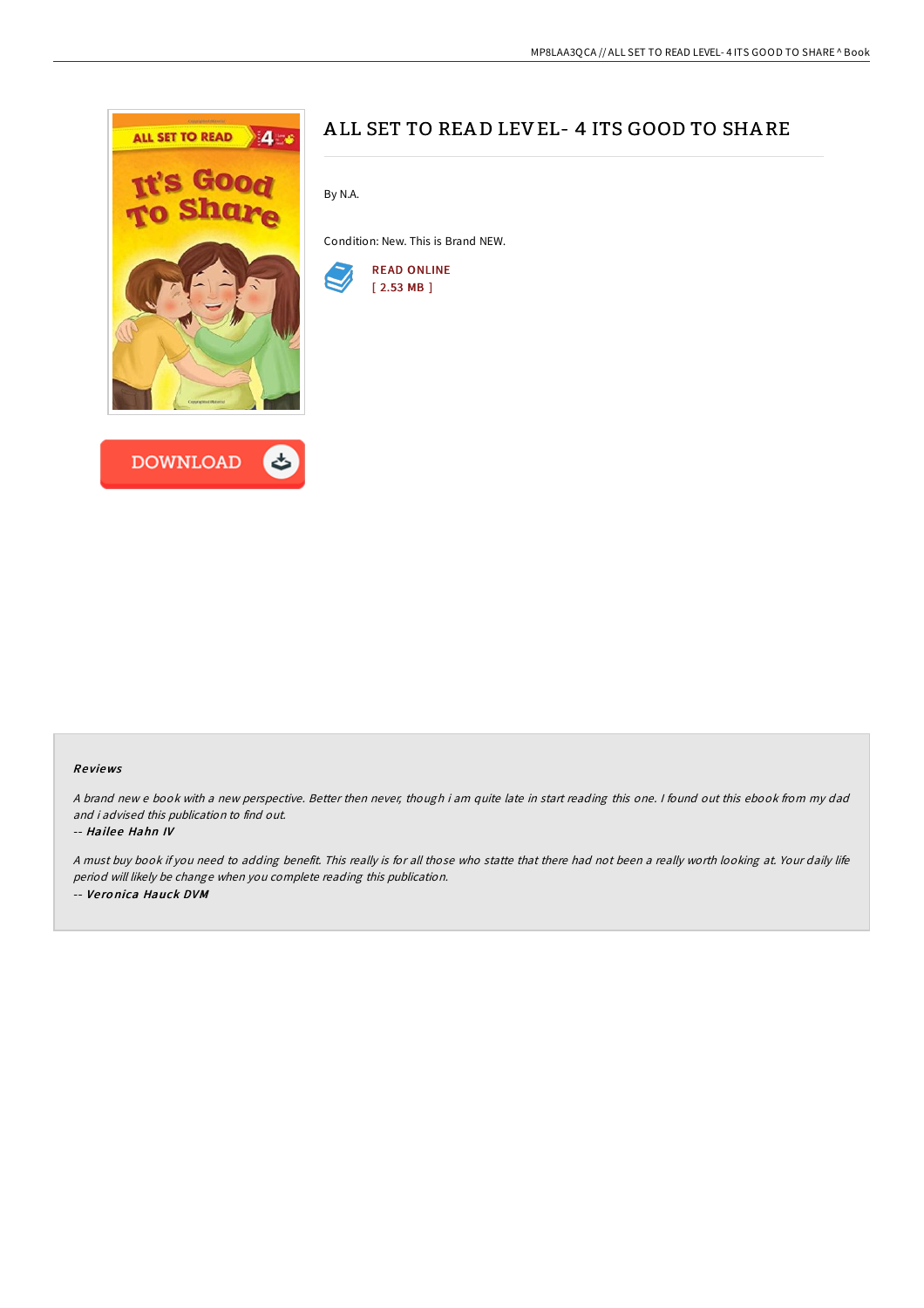



# ALL SET TO READ LEVEL- 4 ITS GOOD TO SHARE

By N.A.

Condition: New. This is Brand NEW.



### Re views

<sup>A</sup> brand new <sup>e</sup> book with <sup>a</sup> new perspective. Better then never, though i am quite late in start reading this one. <sup>I</sup> found out this ebook from my dad and i advised this publication to find out.

### -- Hailee Hahn IV

<sup>A</sup> must buy book if you need to adding benefit. This really is for all those who statte that there had not been <sup>a</sup> really worth looking at. Your daily life period will likely be change when you complete reading this publication. -- Ve ro nica Hauck DVM